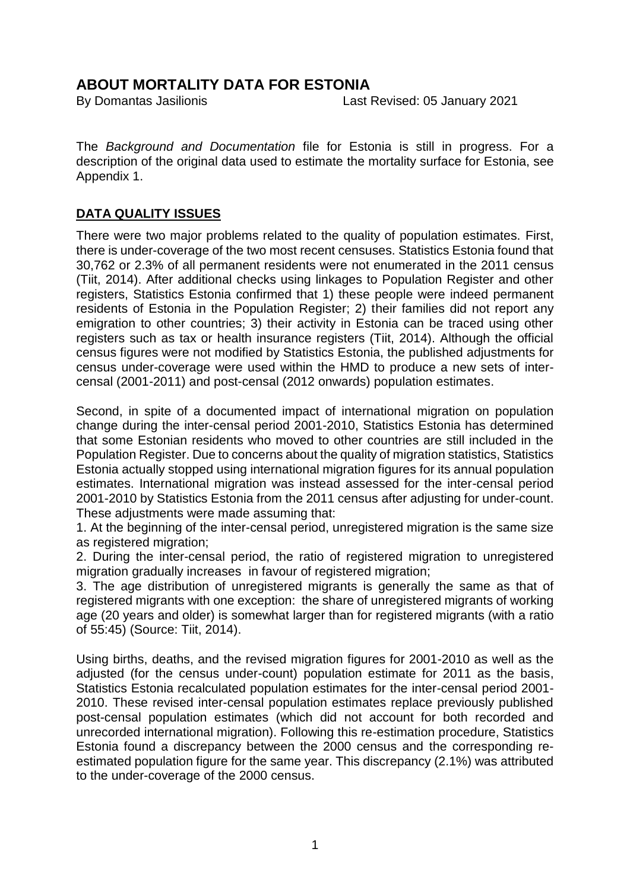## **ABOUT MORTALITY DATA FOR ESTONIA**

By Domantas Jasilionis Last Revised: 05 January 2021

The *Background and Documentation* file for Estonia is still in progress. For a description of the original data used to estimate the mortality surface for Estonia, see Appendix 1.

### **DATA QUALITY ISSUES**

There were two major problems related to the quality of population estimates. First, there is under-coverage of the two most recent censuses. Statistics Estonia found that 30,762 or 2.3% of all permanent residents were not enumerated in the 2011 census (Tiit, 2014). After additional checks using linkages to Population Register and other registers, Statistics Estonia confirmed that 1) these people were indeed permanent residents of Estonia in the Population Register; 2) their families did not report any emigration to other countries; 3) their activity in Estonia can be traced using other registers such as tax or health insurance registers (Tiit, 2014). Although the official census figures were not modified by Statistics Estonia, the published adjustments for census under-coverage were used within the HMD to produce a new sets of intercensal (2001-2011) and post-censal (2012 onwards) population estimates.

Second, in spite of a documented impact of international migration on population change during the inter-censal period 2001-2010, Statistics Estonia has determined that some Estonian residents who moved to other countries are still included in the Population Register. Due to concerns about the quality of migration statistics, Statistics Estonia actually stopped using international migration figures for its annual population estimates. International migration was instead assessed for the inter-censal period 2001-2010 by Statistics Estonia from the 2011 census after adjusting for under-count. These adjustments were made assuming that:

1. At the beginning of the inter-censal period, unregistered migration is the same size as registered migration;

2. During the inter-censal period, the ratio of registered migration to unregistered migration gradually increases in favour of registered migration;

3. The age distribution of unregistered migrants is generally the same as that of registered migrants with one exception: the share of unregistered migrants of working age (20 years and older) is somewhat larger than for registered migrants (with a ratio of 55:45) (Source: Tiit, 2014).

Using births, deaths, and the revised migration figures for 2001-2010 as well as the adjusted (for the census under-count) population estimate for 2011 as the basis, Statistics Estonia recalculated population estimates for the inter-censal period 2001- 2010. These revised inter-censal population estimates replace previously published post-censal population estimates (which did not account for both recorded and unrecorded international migration). Following this re-estimation procedure, Statistics Estonia found a discrepancy between the 2000 census and the corresponding reestimated population figure for the same year. This discrepancy (2.1%) was attributed to the under-coverage of the 2000 census.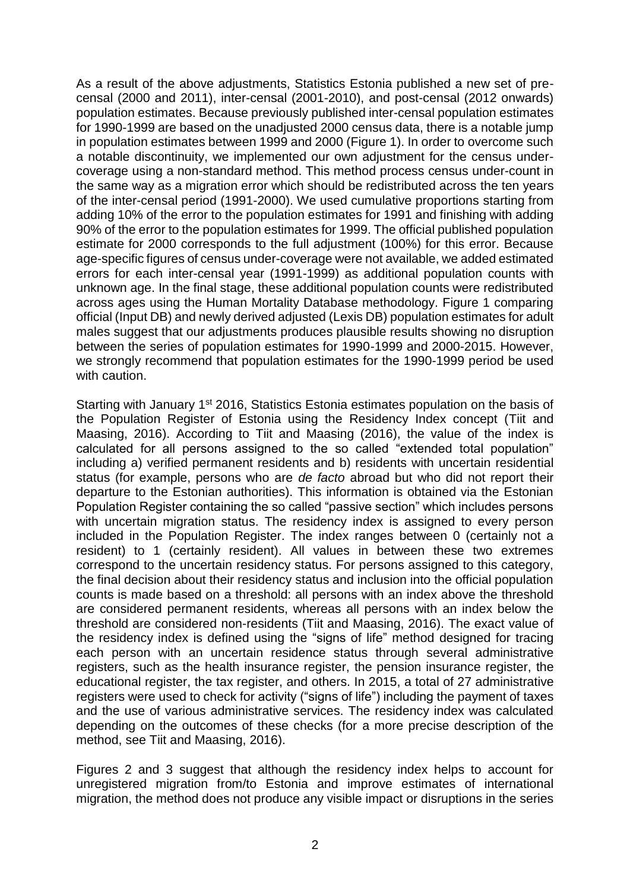As a result of the above adjustments, Statistics Estonia published a new set of precensal (2000 and 2011), inter-censal (2001-2010), and post-censal (2012 onwards) population estimates. Because previously published inter-censal population estimates for 1990-1999 are based on the unadjusted 2000 census data, there is a notable jump in population estimates between 1999 and 2000 (Figure 1). In order to overcome such a notable discontinuity, we implemented our own adjustment for the census undercoverage using a non-standard method. This method process census under-count in the same way as a migration error which should be redistributed across the ten years of the inter-censal period (1991-2000). We used cumulative proportions starting from adding 10% of the error to the population estimates for 1991 and finishing with adding 90% of the error to the population estimates for 1999. The official published population estimate for 2000 corresponds to the full adjustment (100%) for this error. Because age-specific figures of census under-coverage were not available, we added estimated errors for each inter-censal year (1991-1999) as additional population counts with unknown age. In the final stage, these additional population counts were redistributed across ages using the Human Mortality Database methodology. Figure 1 comparing official (Input DB) and newly derived adjusted (Lexis DB) population estimates for adult males suggest that our adjustments produces plausible results showing no disruption between the series of population estimates for 1990-1999 and 2000-2015. However, we strongly recommend that population estimates for the 1990-1999 period be used with caution.

Starting with January 1<sup>st</sup> 2016, Statistics Estonia estimates population on the basis of the Population Register of Estonia using the Residency Index concept (Tiit and Maasing, 2016). According to Tiit and Maasing (2016), the value of the index is calculated for all persons assigned to the so called "extended total population" including a) verified permanent residents and b) residents with uncertain residential status (for example, persons who are *de facto* abroad but who did not report their departure to the Estonian authorities). This information is obtained via the Estonian Population Register containing the so called "passive section" which includes persons with uncertain migration status. The residency index is assigned to every person included in the Population Register. The index ranges between 0 (certainly not a resident) to 1 (certainly resident). All values in between these two extremes correspond to the uncertain residency status. For persons assigned to this category, the final decision about their residency status and inclusion into the official population counts is made based on a threshold: all persons with an index above the threshold are considered permanent residents, whereas all persons with an index below the threshold are considered non-residents (Tiit and Maasing, 2016). The exact value of the residency index is defined using the "signs of life" method designed for tracing each person with an uncertain residence status through several administrative registers, such as the health insurance register, the pension insurance register, the educational register, the tax register, and others. In 2015, a total of 27 administrative registers were used to check for activity ("signs of life") including the payment of taxes and the use of various administrative services. The residency index was calculated depending on the outcomes of these checks (for a more precise description of the method, see Tiit and Maasing, 2016).

Figures 2 and 3 suggest that although the residency index helps to account for unregistered migration from/to Estonia and improve estimates of international migration, the method does not produce any visible impact or disruptions in the series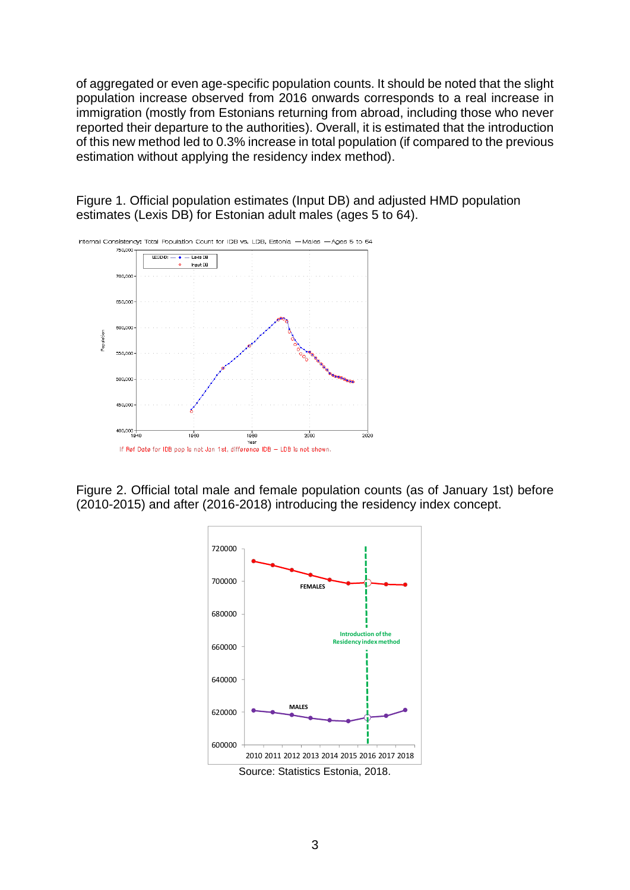of aggregated or even age-specific population counts. It should be noted that the slight population increase observed from 2016 onwards corresponds to a real increase in immigration (mostly from Estonians returning from abroad, including those who never reported their departure to the authorities). Overall, it is estimated that the introduction of this new method led to 0.3% increase in total population (if compared to the previous estimation without applying the residency index method).



Figure 1. Official population estimates (Input DB) and adjusted HMD population estimates (Lexis DB) for Estonian adult males (ages 5 to 64).

Figure 2. Official total male and female population counts (as of January 1st) before (2010-2015) and after (2016-2018) introducing the residency index concept.

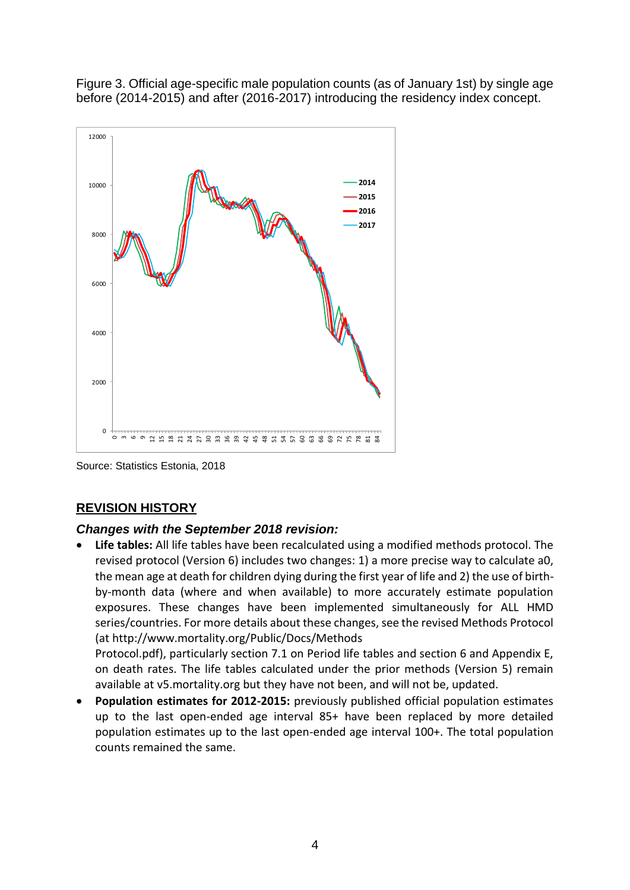Figure 3. Official age-specific male population counts (as of January 1st) by single age before (2014-2015) and after (2016-2017) introducing the residency index concept.



Source: Statistics Estonia, 2018

### **REVISION HISTORY**

### *Changes with the September 2018 revision:*

• **Life tables:** All life tables have been recalculated using a modified methods protocol. The revised protocol (Version 6) includes two changes: 1) a more precise way to calculate a0, the mean age at death for children dying during the first year of life and 2) the use of birthby-month data (where and when available) to more accurately estimate population exposures. These changes have been implemented simultaneously for ALL HMD series/countries. For more details about these changes, see the revised Methods Protocol (at http://www.mortality.org/Public/Docs/Methods

Protocol.pdf), particularly section 7.1 on Period life tables and section 6 and Appendix E, on death rates. The life tables calculated under the prior methods (Version 5) remain available at v5.mortality.org but they have not been, and will not be, updated.

• **Population estimates for 2012-2015:** previously published official population estimates up to the last open-ended age interval 85+ have been replaced by more detailed population estimates up to the last open-ended age interval 100+. The total population counts remained the same.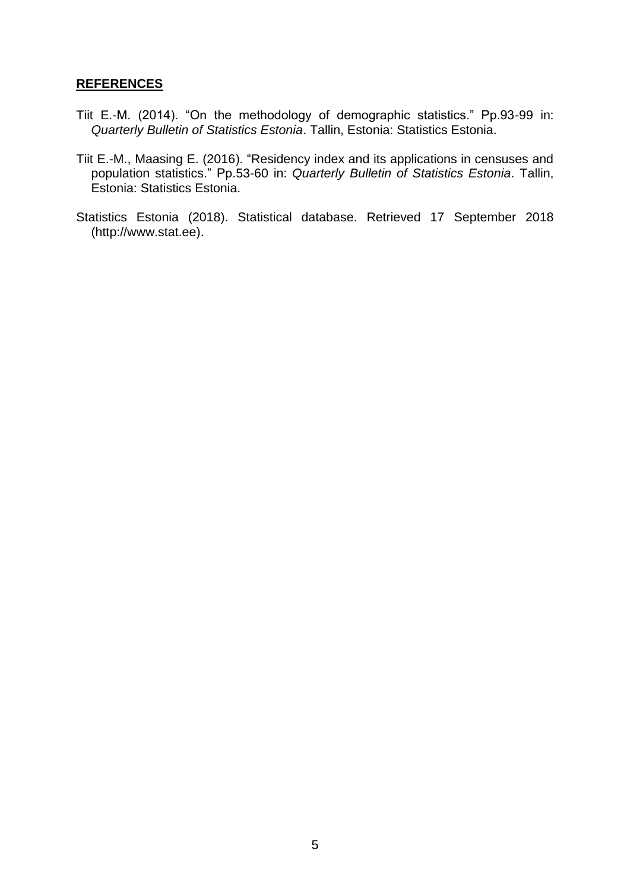#### **REFERENCES**

- Tiit E.-M. (2014). "On the methodology of demographic statistics." Pp.93-99 in: *Quarterly Bulletin of Statistics Estonia*. Tallin, Estonia: Statistics Estonia.
- Tiit E.-M., Maasing E. (2016). "Residency index and its applications in censuses and population statistics." Pp.53-60 in: *Quarterly Bulletin of Statistics Estonia*. Tallin, Estonia: Statistics Estonia.
- Statistics Estonia (2018). Statistical database. Retrieved 17 September 2018 (http://www.stat.ee).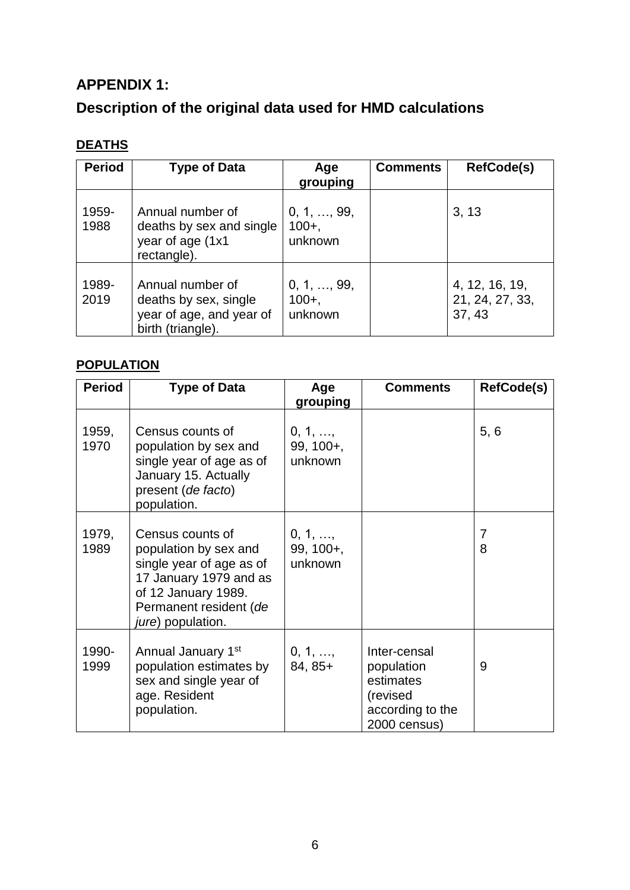## **APPENDIX 1:**

# **Description of the original data used for HMD calculations**

## **DEATHS**

| <b>Period</b> | <b>Type of Data</b>                                                                        | Age<br>grouping                           | <b>Comments</b> | <b>RefCode(s)</b>                           |
|---------------|--------------------------------------------------------------------------------------------|-------------------------------------------|-----------------|---------------------------------------------|
| 1959-<br>1988 | Annual number of<br>deaths by sex and single<br>year of age (1x1<br>rectangle).            | $0, 1, \ldots, 99,$<br>$100+,$<br>unknown |                 | 3, 13                                       |
| 1989-<br>2019 | Annual number of<br>deaths by sex, single<br>year of age, and year of<br>birth (triangle). | 0, 1, , 99,<br>$100 +$ ,<br>unknown       |                 | 4, 12, 16, 19,<br>21, 24, 27, 33,<br>37, 43 |

## **POPULATION**

| <b>Period</b> | <b>Type of Data</b>                                                                                                                                                   | Age<br>grouping                            | <b>Comments</b>                                                                         | <b>RefCode(s)</b> |
|---------------|-----------------------------------------------------------------------------------------------------------------------------------------------------------------------|--------------------------------------------|-----------------------------------------------------------------------------------------|-------------------|
| 1959,<br>1970 | Census counts of<br>population by sex and<br>single year of age as of<br>January 15. Actually<br>present (de facto)<br>population.                                    | $0, 1, \ldots$<br>99, 100+,<br>unknown     |                                                                                         | 5, 6              |
| 1979,<br>1989 | Census counts of<br>population by sex and<br>single year of age as of<br>17 January 1979 and as<br>of 12 January 1989.<br>Permanent resident (de<br>jure) population. | $0, 1, \ldots$<br>$99, 100 +$ ,<br>unknown |                                                                                         | 7<br>8            |
| 1990-<br>1999 | Annual January 1st<br>population estimates by<br>sex and single year of<br>age. Resident<br>population.                                                               | $0, 1, \ldots,$<br>$84, 85+$               | Inter-censal<br>population<br>estimates<br>(revised<br>according to the<br>2000 census) | 9                 |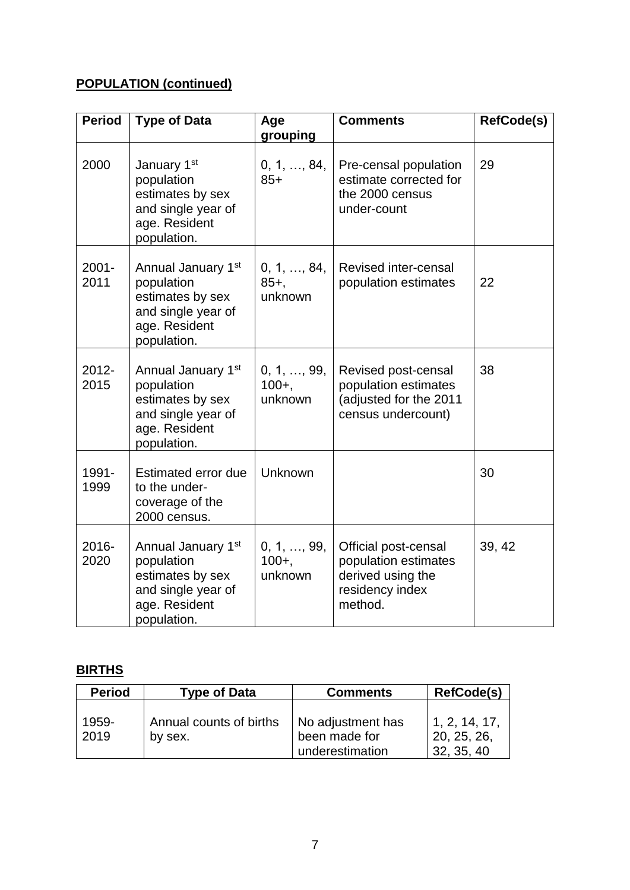# **POPULATION (continued)**

| <b>Period</b>    | <b>Type of Data</b>                                                                                        | Age<br>grouping                     | <b>Comments</b>                                                                                 | <b>RefCode(s)</b> |
|------------------|------------------------------------------------------------------------------------------------------------|-------------------------------------|-------------------------------------------------------------------------------------------------|-------------------|
| 2000             | January 1st<br>population<br>estimates by sex<br>and single year of<br>age. Resident<br>population.        | 0, 1, , 84,<br>$85+$                | Pre-censal population<br>estimate corrected for<br>the 2000 census<br>under-count               | 29                |
| $2001 -$<br>2011 | Annual January 1st<br>population<br>estimates by sex<br>and single year of<br>age. Resident<br>population. | 0, 1, , 84,<br>$85+,$<br>unknown    | <b>Revised inter-censal</b><br>population estimates                                             | 22                |
| 2012-<br>2015    | Annual January 1st<br>population<br>estimates by sex<br>and single year of<br>age. Resident<br>population. | 0, 1, , 99,<br>$100 +$ ,<br>unknown | Revised post-censal<br>population estimates<br>(adjusted for the 2011<br>census undercount)     | 38                |
| 1991-<br>1999    | <b>Estimated error due</b><br>to the under-<br>coverage of the<br>2000 census.                             | Unknown                             |                                                                                                 | 30                |
| 2016-<br>2020    | Annual January 1st<br>population<br>estimates by sex<br>and single year of<br>age. Resident<br>population. | 0, 1, , 99,<br>$100 +$ ,<br>unknown | Official post-censal<br>population estimates<br>derived using the<br>residency index<br>method. | 39, 42            |

# **BIRTHS**

| <b>Period</b> | <b>Type of Data</b>                | <b>Comments</b>                                       | <b>RefCode(s)</b>                          |
|---------------|------------------------------------|-------------------------------------------------------|--------------------------------------------|
| 1959-<br>2019 | Annual counts of births<br>by sex. | No adjustment has<br>been made for<br>underestimation | 1, 2, 14, 17,<br>20, 25, 26,<br>32, 35, 40 |